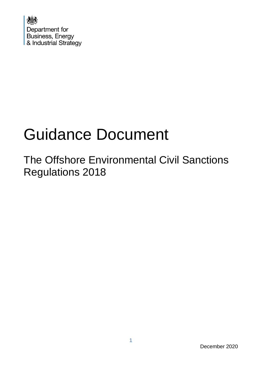

# Guidance Document

The Offshore Environmental Civil Sanctions Regulations 2018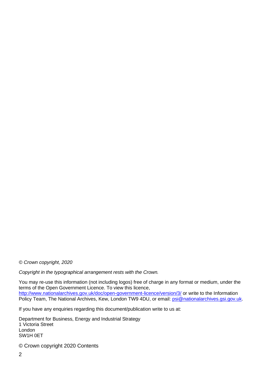*© Crown copyright, 2020*

*Copyright in the typographical arrangement rests with the Crown.*

You may re-use this information (not including logos) free of charge in any format or medium, under the terms of the Open Government Licence. To view this licence, <http://www.nationalarchives.gov.uk/doc/open-government-licence/version/3/> or write to the Information Policy Team, The National Archives, Kew, London TW9 4DU, or email: [psi@nationalarchives.gsi.gov.uk.](mailto:psi@nationalarchives.gsi.gov.uk)

If you have any enquiries regarding this document/publication write to us at:

Department for Business, Energy and Industrial Strategy 1 Victoria Street London SW1H 0ET

© Crown copyright 2020 Contents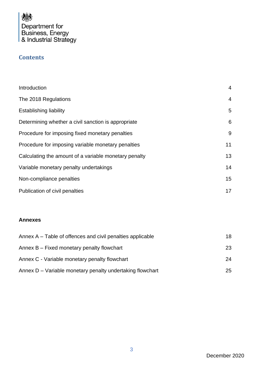

#### **Contents**

| Introduction                                          | $\overline{4}$  |
|-------------------------------------------------------|-----------------|
| The 2018 Regulations                                  | $\overline{4}$  |
| Establishing liability                                | 5               |
| Determining whether a civil sanction is appropriate   | $6\phantom{1}6$ |
| Procedure for imposing fixed monetary penalties       | 9               |
| Procedure for imposing variable monetary penalties    | 11              |
| Calculating the amount of a variable monetary penalty | 13              |
| Variable monetary penalty undertakings                | 14              |
| Non-compliance penalties                              | 15              |
| Publication of civil penalties                        | 17              |

#### **Annexes**

| Annex A – Table of offences and civil penalties applicable | 18 |
|------------------------------------------------------------|----|
| Annex B – Fixed monetary penalty flowchart                 | 23 |
| Annex C - Variable monetary penalty flowchart              | 24 |
| Annex D – Variable monetary penalty undertaking flowchart  | 25 |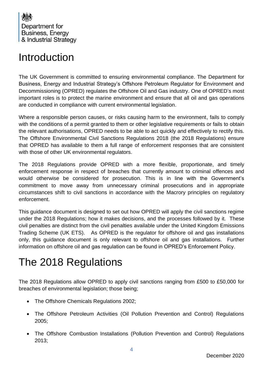

# <span id="page-3-0"></span>Introduction

The UK Government is committed to ensuring environmental compliance. The Department for Business, Energy and Industrial Strategy's Offshore Petroleum Regulator for Environment and Decommissioning (OPRED) regulates the Offshore Oil and Gas industry. One of OPRED's most important roles is to protect the marine environment and ensure that all oil and gas operations are conducted in compliance with current environmental legislation.

Where a responsible person causes, or risks causing harm to the environment, fails to comply with the conditions of a permit granted to them or other legislative requirements or fails to obtain the relevant authorisations, OPRED needs to be able to act quickly and effectively to rectify this. The Offshore Environmental Civil Sanctions Regulations 2018 (the 2018 Regulations) ensure that OPRED has available to them a full range of enforcement responses that are consistent with those of other UK environmental regulators.

The 2018 Regulations provide OPRED with a more flexible, proportionate, and timely enforcement response in respect of breaches that currently amount to criminal offences and would otherwise be considered for prosecution. This is in line with the Government's commitment to move away from unnecessary criminal prosecutions and in appropriate circumstances shift to civil sanctions in accordance with the Macrory principles on regulatory enforcement.

This guidance document is designed to set out how OPRED will apply the civil sanctions regime under the 2018 Regulations; how it makes decisions, and the processes followed by it. These civil penalties are distinct from the civil penalties available under the United Kingdom Emissions Trading Scheme (UK ETS). As OPRED is the regulator for offshore oil and gas installations only, this guidance document is only relevant to offshore oil and gas installations. Further information on offshore oil and gas regulation can be found in OPRED's Enforcement Policy.

# <span id="page-3-1"></span>The 2018 Regulations

The 2018 Regulations allow OPRED to apply civil sanctions ranging from £500 to £50,000 for breaches of environmental legislation; those being;

- The Offshore Chemicals Regulations 2002;
- The Offshore Petroleum Activities (Oil Pollution Prevention and Control) Regulations 2005;
- The Offshore Combustion Installations (Pollution Prevention and Control) Regulations 2013;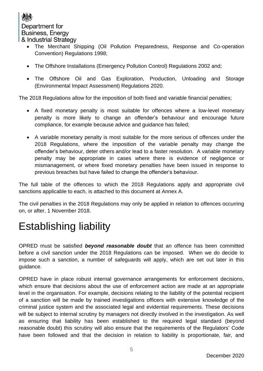- The Merchant Shipping (Oil Pollution Preparedness, Response and Co-operation Convention) Regulations 1998;
- The Offshore Installations (Emergency Pollution Control) Regulations 2002 and;
- The Offshore Oil and Gas Exploration, Production, Unloading and Storage (Environmental Impact Assessment) Regulations 2020.

The 2018 Regulations allow for the imposition of both fixed and variable financial penalties;

- A fixed monetary penalty is most suitable for offences where a low-level monetary penalty is more likely to change an offender's behaviour and encourage future compliance, for example because advice and guidance has failed;
- A variable monetary penalty is most suitable for the more serious of offences under the 2018 Regulations, where the imposition of the variable penalty may change the offender's behaviour, deter others and/or lead to a faster resolution. A variable monetary penalty may be appropriate in cases where there is evidence of negligence or mismanagement, or where fixed monetary penalties have been issued in response to previous breaches but have failed to change the offender's behaviour.

The full table of the offences to which the 2018 Regulations apply and appropriate civil sanctions applicable to each, is attached to this document at Annex A.

The civil penalties in the 2018 Regulations may only be applied in relation to offences occurring on, or after, 1 November 2018.

# <span id="page-4-0"></span>Establishing liability

OPRED must be satisfied *beyond reasonable doubt* that an offence has been committed before a civil sanction under the 2018 Regulations can be imposed. When we do decide to impose such a sanction, a number of safeguards will apply, which are set out later in this guidance.

OPRED have in place robust internal governance arrangements for enforcement decisions, which ensure that decisions about the use of enforcement action are made at an appropriate level in the organisation. For example, decisions relating to the liability of the potential recipient of a sanction will be made by trained investigations officers with extensive knowledge of the criminal justice system and the associated legal and evidential requirements. These decisions will be subject to internal scrutiny by managers not directly involved in the investigation. As well as ensuring that liability has been established to the required legal standard (beyond reasonable doubt) this scrutiny will also ensure that the requirements of the Regulators' Code have been followed and that the decision in relation to liability is proportionate, fair, and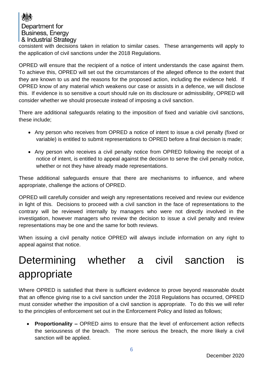

consistent with decisions taken in relation to similar cases. These arrangements will apply to the application of civil sanctions under the 2018 Regulations.

OPRED will ensure that the recipient of a notice of intent understands the case against them. To achieve this, OPRED will set out the circumstances of the alleged offence to the extent that they are known to us and the reasons for the proposed action, including the evidence held. If OPRED know of any material which weakens our case or assists in a defence, we will disclose this. If evidence is so sensitive a court should rule on its disclosure or admissibility, OPRED will consider whether we should prosecute instead of imposing a civil sanction.

There are additional safeguards relating to the imposition of fixed and variable civil sanctions, these include;

- Any person who receives from OPRED a notice of intent to issue a civil penalty (fixed or variable) is entitled to submit representations to OPRED before a final decision is made;
- Any person who receives a civil penalty notice from OPRED following the receipt of a notice of intent, is entitled to appeal against the decision to serve the civil penalty notice, whether or not they have already made representations.

These additional safeguards ensure that there are mechanisms to influence, and where appropriate, challenge the actions of OPRED.

OPRED will carefully consider and weigh any representations received and review our evidence in light of this. Decisions to proceed with a civil sanction in the face of representations to the contrary will be reviewed internally by managers who were not directly involved in the investigation, however managers who review the decision to issue a civil penalty and review representations may be one and the same for both reviews.

When issuing a civil penalty notice OPRED will always include information on any right to appeal against that notice.

# Determining whether a civil sanction is appropriate

Where OPRED is satisfied that there is sufficient evidence to prove beyond reasonable doubt that an offence giving rise to a civil sanction under the 2018 Regulations has occurred, OPRED must consider whether the imposition of a civil sanction is appropriate. To do this we will refer to the principles of enforcement set out in the Enforcement Policy and listed as follows;

• **Proportionality –** OPRED aims to ensure that the level of enforcement action reflects the seriousness of the breach. The more serious the breach, the more likely a civil sanction will be applied.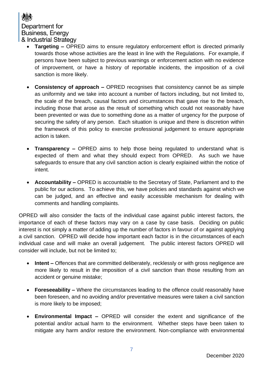

- **Targeting –** OPRED aims to ensure regulatory enforcement effort is directed primarily towards those whose activities are the least in line with the Regulations. For example, if persons have been subject to previous warnings or enforcement action with no evidence of improvement, or have a history of reportable incidents, the imposition of a civil sanction is more likely.
- **Consistency of approach –** OPRED recognises that consistency cannot be as simple as uniformity and we take into account a number of factors including, but not limited to, the scale of the breach, causal factors and circumstances that gave rise to the breach, including those that arose as the result of something which could not reasonably have been prevented or was due to something done as a matter of urgency for the purpose of securing the safety of any person. Each situation is unique and there is discretion within the framework of this policy to exercise professional judgement to ensure appropriate action is taken.
- **Transparency –** OPRED aims to help those being regulated to understand what is expected of them and what they should expect from OPRED. As such we have safeguards to ensure that any civil sanction action is clearly explained within the notice of intent.
- **Accountability –** OPRED is accountable to the Secretary of State, Parliament and to the public for our actions. To achieve this, we have policies and standards against which we can be judged, and an effective and easily accessible mechanism for dealing with comments and handling complaints.

OPRED will also consider the facts of the individual case against public interest factors, the importance of each of these factors may vary on a case by case basis. Deciding on public interest is not simply a matter of adding up the number of factors in favour of or against applying a civil sanction. OPRED will decide how important each factor is in the circumstances of each individual case and will make an overall judgement. The public interest factors OPRED will consider will include, but not be limited to;

- **Intent –** Offences that are committed deliberately, recklessly or with gross negligence are more likely to result in the imposition of a civil sanction than those resulting from an accident or genuine mistake;
- **Foreseeability –** Where the circumstances leading to the offence could reasonably have been foreseen, and no avoiding and/or preventative measures were taken a civil sanction is more likely to be imposed;
- **Environmental Impact –** OPRED will consider the extent and significance of the potential and/or actual harm to the environment. Whether steps have been taken to mitigate any harm and/or restore the environment. Non-compliance with environmental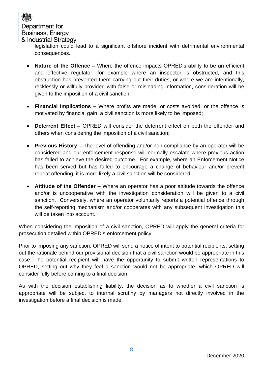

legislation could lead to a significant offshore incident with detrimental environmental consequences.

- **Nature of the Offence –** Where the offence impacts OPRED's ability to be an efficient and effective regulator, for example where an inspector is obstructed, and this obstruction has prevented them carrying out their duties; or where we are intentionally, recklessly or wilfully provided with false or misleading information, consideration will be given to the imposition of a civil sanction;
- **Financial Implications –** Where profits are made, or costs avoided, or the offence is motivated by financial gain, a civil sanction is more likely to be imposed;
- **Deterrent Effect –** OPRED will consider the deterrent effect on both the offender and others when considering the imposition of a civil sanction;
- **Previous History –** The level of offending and/or non-compliance by an operator will be considered and our enforcement response will normally escalate where previous action has failed to achieve the desired outcome. For example, where an Enforcement Notice has been served but has failed to encourage a change of behaviour and/or prevent repeat offending, it is more likely a civil sanction will be considered;
- **Attitude of the Offender –** Where an operator has a poor attitude towards the offence and/or is uncooperative with the investigation consideration will be given to a civil sanction. Conversely, where an operator voluntarily reports a potential offence through the self-reporting mechanism and/or cooperates with any subsequent investigation this will be taken into account.

When considering the imposition of a civil sanction, OPRED will apply the general criteria for prosecution detailed within OPRED's enforcement policy.

Prior to imposing any sanction, OPRED will send a notice of intent to potential recipients, setting out the rationale behind our provisional decision that a civil sanction would be appropriate in this case. The potential recipient will have the opportunity to submit written representations to OPRED, setting out why they feel a sanction would not be appropriate, which OPRED will consider fully before coming to a final decision.

As with the decision establishing liability, the decision as to whether a civil sanction is appropriate will be subject to internal scrutiny by managers not directly involved in the investigation before a final decision is made.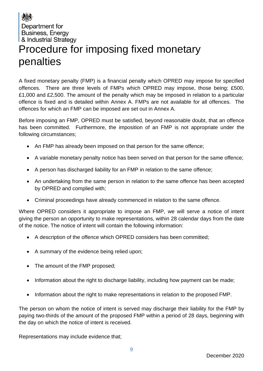# Procedure for imposing fixed monetary penalties

A fixed monetary penalty (FMP) is a financial penalty which OPRED may impose for specified offences. There are three levels of FMPs which OPRED may impose, those being; £500, £1,000 and £2,500. The amount of the penalty which may be imposed in relation to a particular offence is fixed and is detailed within Annex A. FMPs are not available for all offences. The offences for which an FMP can be imposed are set out in Annex A.

Before imposing an FMP, OPRED must be satisfied, beyond reasonable doubt, that an offence has been committed. Furthermore, the imposition of an FMP is not appropriate under the following circumstances;

- An FMP has already been imposed on that person for the same offence;
- A variable monetary penalty notice has been served on that person for the same offence;
- A person has discharged liability for an FMP in relation to the same offence;
- An undertaking from the same person in relation to the same offence has been accepted by OPRED and complied with;
- Criminal proceedings have already commenced in relation to the same offence.

Where OPRED considers it appropriate to impose an FMP, we will serve a notice of intent giving the person an opportunity to make representations, within 28 calendar days from the date of the notice. The notice of intent will contain the following information:

- A description of the offence which OPRED considers has been committed;
- A summary of the evidence being relied upon;
- The amount of the FMP proposed;
- Information about the right to discharge liability, including how payment can be made;
- Information about the right to make representations in relation to the proposed FMP.

The person on whom the notice of intent is served may discharge their liability for the FMP by paying two-thirds of the amount of the proposed FMP within a period of 28 days, beginning with the day on which the notice of intent is received.

Representations may include evidence that;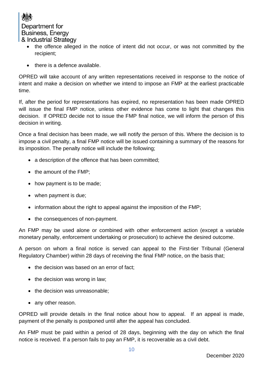

- the offence alleged in the notice of intent did not occur, or was not committed by the recipient;
- there is a defence available.

OPRED will take account of any written representations received in response to the notice of intent and make a decision on whether we intend to impose an FMP at the earliest practicable time.

If, after the period for representations has expired, no representation has been made OPRED will issue the final FMP notice, unless other evidence has come to light that changes this decision. If OPRED decide not to issue the FMP final notice, we will inform the person of this decision in writing.

Once a final decision has been made, we will notify the person of this. Where the decision is to impose a civil penalty, a final FMP notice will be issued containing a summary of the reasons for its imposition. The penalty notice will include the following;

- a description of the offence that has been committed;
- the amount of the FMP:
- how payment is to be made;
- when payment is due;
- information about the right to appeal against the imposition of the FMP;
- the consequences of non-payment.

An FMP may be used alone or combined with other enforcement action (except a variable monetary penalty, enforcement undertaking or prosecution) to achieve the desired outcome.

A person on whom a final notice is served can appeal to the First-tier Tribunal (General Regulatory Chamber) within 28 days of receiving the final FMP notice, on the basis that;

- the decision was based on an error of fact;
- the decision was wrong in law;
- the decision was unreasonable:
- any other reason.

OPRED will provide details in the final notice about how to appeal. If an appeal is made, payment of the penalty is postponed until after the appeal has concluded.

An FMP must be paid within a period of 28 days, beginning with the day on which the final notice is received. If a person fails to pay an FMP, it is recoverable as a civil debt.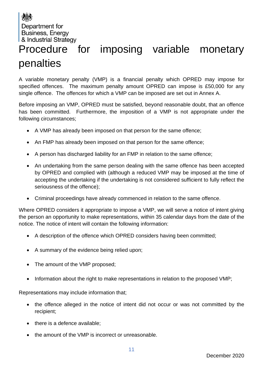# Procedure for imposing variable monetary penalties

A variable monetary penalty (VMP) is a financial penalty which OPRED may impose for specified offences. The maximum penalty amount OPRED can impose is £50,000 for any single offence. The offences for which a VMP can be imposed are set out in Annex A.

Before imposing an VMP, OPRED must be satisfied, beyond reasonable doubt, that an offence has been committed. Furthermore, the imposition of a VMP is not appropriate under the following circumstances;

- A VMP has already been imposed on that person for the same offence;
- An FMP has already been imposed on that person for the same offence;
- A person has discharged liability for an FMP in relation to the same offence;
- An undertaking from the same person dealing with the same offence has been accepted by OPRED and complied with (although a reduced VMP may be imposed at the time of accepting the undertaking if the undertaking is not considered sufficient to fully reflect the seriousness of the offence);
- Criminal proceedings have already commenced in relation to the same offence.

Where OPRED considers it appropriate to impose a VMP, we will serve a notice of intent giving the person an opportunity to make representations, within 35 calendar days from the date of the notice. The notice of intent will contain the following information:

- A description of the offence which OPRED considers having been committed;
- A summary of the evidence being relied upon;
- The amount of the VMP proposed;
- Information about the right to make representations in relation to the proposed VMP;

Representations may include information that;

- the offence alleged in the notice of intent did not occur or was not committed by the recipient;
- there is a defence available:
- the amount of the VMP is incorrect or unreasonable.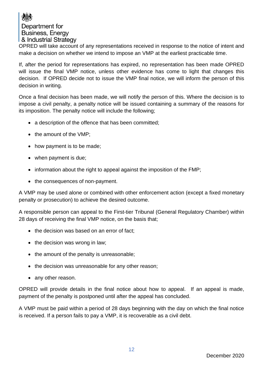

OPRED will take account of any representations received in response to the notice of intent and make a decision on whether we intend to impose an VMP at the earliest practicable time.

If, after the period for representations has expired, no representation has been made OPRED will issue the final VMP notice, unless other evidence has come to light that changes this decision. If OPRED decide not to issue the VMP final notice, we will inform the person of this decision in writing.

Once a final decision has been made, we will notify the person of this. Where the decision is to impose a civil penalty, a penalty notice will be issued containing a summary of the reasons for its imposition. The penalty notice will include the following;

- a description of the offence that has been committed;
- the amount of the VMP;
- how payment is to be made;
- when payment is due;
- information about the right to appeal against the imposition of the FMP;
- the consequences of non-payment.

A VMP may be used alone or combined with other enforcement action (except a fixed monetary penalty or prosecution) to achieve the desired outcome.

A responsible person can appeal to the First-tier Tribunal (General Regulatory Chamber) within 28 days of receiving the final VMP notice, on the basis that;

- the decision was based on an error of fact:
- the decision was wrong in law;
- the amount of the penalty is unreasonable;
- the decision was unreasonable for any other reason;
- any other reason.

OPRED will provide details in the final notice about how to appeal. If an appeal is made, payment of the penalty is postponed until after the appeal has concluded.

A VMP must be paid within a period of 28 days beginning with the day on which the final notice is received. If a person fails to pay a VMP, it is recoverable as a civil debt.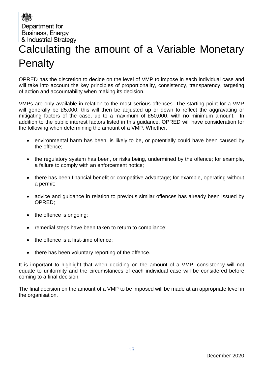# Calculating the amount of a Variable Monetary **Penalty**

OPRED has the discretion to decide on the level of VMP to impose in each individual case and will take into account the key principles of proportionality, consistency, transparency, targeting of action and accountability when making its decision.

VMPs are only available in relation to the most serious offences. The starting point for a VMP will generally be £5,000, this will then be adjusted up or down to reflect the aggravating or mitigating factors of the case, up to a maximum of £50,000, with no minimum amount. In addition to the public interest factors listed in this guidance, OPRED will have consideration for the following when determining the amount of a VMP. Whether:

- environmental harm has been, is likely to be, or potentially could have been caused by the offence;
- the regulatory system has been, or risks being, undermined by the offence; for example, a failure to comply with an enforcement notice;
- there has been financial benefit or competitive advantage; for example, operating without a permit;
- advice and guidance in relation to previous similar offences has already been issued by OPRED;
- the offence is ongoing;
- remedial steps have been taken to return to compliance;
- the offence is a first-time offence;
- there has been voluntary reporting of the offence.

It is important to highlight that when deciding on the amount of a VMP, consistency will not equate to uniformity and the circumstances of each individual case will be considered before coming to a final decision.

The final decision on the amount of a VMP to be imposed will be made at an appropriate level in the organisation.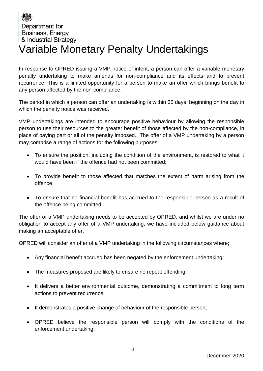### Department for **Business, Energy** & Industrial Strategy Variable Monetary Penalty Undertakings

In response to OPRED issuing a VMP notice of intent, a person can offer a variable monetary penalty undertaking to make amends for non-compliance and its effects and to prevent recurrence. This is a limited opportunity for a person to make an offer which brings benefit to any person affected by the non-compliance.

The period in which a person can offer an undertaking is within 35 days, beginning on the day in which the penalty notice was received.

VMP undertakings are intended to encourage positive behaviour by allowing the responsible person to use their resources to the greater benefit of those affected by the non-compliance, in place of paying part or all of the penalty imposed. The offer of a VMP undertaking by a person may comprise a range of actions for the following purposes;

- To ensure the position, including the condition of the environment, is restored to what it would have been if the offence had not been committed;
- To provide benefit to those affected that matches the extent of harm arising from the offence;
- To ensure that no financial benefit has accrued to the responsible person as a result of the offence being committed.

The offer of a VMP undertaking needs to be accepted by OPRED, and whilst we are under no obligation to accept any offer of a VMP undertaking, we have included below guidance about making an acceptable offer.

OPRED will consider an offer of a VMP undertaking in the following circumstances where;

- Any financial benefit accrued has been negated by the enforcement undertaking;
- The measures proposed are likely to ensure no repeat offending;
- It delivers a better environmental outcome, demonstrating a commitment to long term actions to prevent recurrence;
- It demonstrates a positive change of behaviour of the responsible person;
- OPRED believe the responsible person will comply with the conditions of the enforcement undertaking.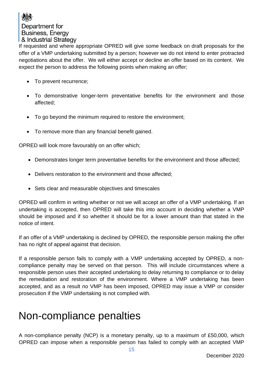If requested and where appropriate OPRED will give some feedback on draft proposals for the offer of a VMP undertaking submitted by a person; however we do not intend to enter protracted negotiations about the offer. We will either accept or decline an offer based on its content. We expect the person to address the following points when making an offer;

- To prevent recurrence;
- To demonstrative longer-term preventative benefits for the environment and those affected;
- To go beyond the minimum required to restore the environment;
- To remove more than any financial benefit gained.

OPRED will look more favourably on an offer which;

- Demonstrates longer term preventative benefits for the environment and those affected;
- Delivers restoration to the environment and those affected:
- Sets clear and measurable objectives and timescales

OPRED will confirm in writing whether or not we will accept an offer of a VMP undertaking. If an undertaking is accepted, then OPRED will take this into account in deciding whether a VMP should be imposed and if so whether it should be for a lower amount than that stated in the notice of intent.

If an offer of a VMP undertaking is declined by OPRED, the responsible person making the offer has no right of appeal against that decision.

If a responsible person fails to comply with a VMP undertaking accepted by OPRED, a noncompliance penalty may be served on that person. This will include circumstances where a responsible person uses their accepted undertaking to delay returning to compliance or to delay the remediation and restoration of the environment. Where a VMP undertaking has been accepted, and as a result no VMP has been imposed, OPRED may issue a VMP or consider prosecution if the VMP undertaking is not complied with.

### <span id="page-14-0"></span>Non-compliance penalties

A non-compliance penalty (NCP) is a monetary penalty, up to a maximum of £50,000, which OPRED can impose when a responsible person has failed to comply with an accepted VMP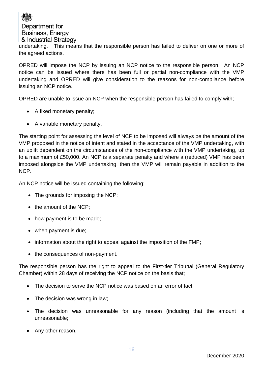Department for **Business, Energy** 

& Industrial Strategy

undertaking. This means that the responsible person has failed to deliver on one or more of the agreed actions.

OPRED will impose the NCP by issuing an NCP notice to the responsible person. An NCP notice can be issued where there has been full or partial non-compliance with the VMP undertaking and OPRED will give consideration to the reasons for non-compliance before issuing an NCP notice.

OPRED are unable to issue an NCP when the responsible person has failed to comply with;

- A fixed monetary penalty;
- A variable monetary penalty.

The starting point for assessing the level of NCP to be imposed will always be the amount of the VMP proposed in the notice of intent and stated in the acceptance of the VMP undertaking, with an uplift dependent on the circumstances of the non-compliance with the VMP undertaking, up to a maximum of £50,000. An NCP is a separate penalty and where a (reduced) VMP has been imposed alongside the VMP undertaking, then the VMP will remain payable in addition to the NCP.

An NCP notice will be issued containing the following;

- The grounds for imposing the NCP;
- the amount of the NCP;
- how payment is to be made;
- when payment is due;
- information about the right to appeal against the imposition of the FMP;
- the consequences of non-payment.

The responsible person has the right to appeal to the First-tier Tribunal (General Regulatory Chamber) within 28 days of receiving the NCP notice on the basis that;

- The decision to serve the NCP notice was based on an error of fact;
- The decision was wrong in law;
- The decision was unreasonable for any reason (including that the amount is unreasonable;
- Any other reason.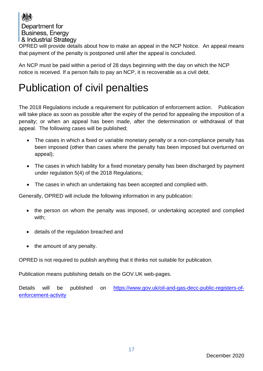

OPRED will provide details about how to make an appeal in the NCP Notice. An appeal means that payment of the penalty is postponed until after the appeal is concluded.

An NCP must be paid within a period of 28 days beginning with the day on which the NCP notice is received. If a person fails to pay an NCP, it is recoverable as a civil debt.

### Publication of civil penalties

The 2018 Regulations include a requirement for publication of enforcement action. Publication will take place as soon as possible after the expiry of the period for appealing the imposition of a penalty; or when an appeal has been made, after the determination or withdrawal of that appeal. The following cases will be published;

- The cases in which a fixed or variable monetary penalty or a non-compliance penalty has been imposed (other than cases where the penalty has been imposed but overturned on appeal);
- The cases in which liability for a fixed monetary penalty has been discharged by payment under regulation 5(4) of the 2018 Regulations;
- The cases in which an undertaking has been accepted and complied with.

Generally, OPRED will include the following information in any publication:

- the person on whom the penalty was imposed, or undertaking accepted and complied with;
- details of the regulation breached and
- the amount of any penalty.

OPRED is not required to publish anything that it thinks not suitable for publication.

Publication means publishing details on the GOV.UK web-pages.

Details will be published on [https://www.gov.uk/oil-and-gas-decc-public-registers-of](https://www.gov.uk/oil-and-gas-decc-public-registers-of-enforcement-activity)[enforcement-activity](https://www.gov.uk/oil-and-gas-decc-public-registers-of-enforcement-activity)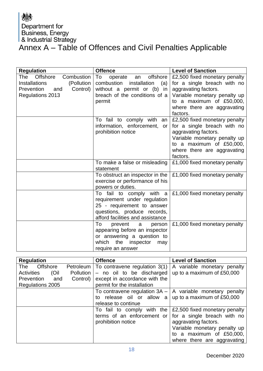# Annex A – Table of Offences and Civil Penalties Applicable

| <b>Regulation</b>                                                                                                                      | <b>Offence</b>                                                                                                                                            | <b>Level of Sanction</b>                                                                                                                                                                    |
|----------------------------------------------------------------------------------------------------------------------------------------|-----------------------------------------------------------------------------------------------------------------------------------------------------------|---------------------------------------------------------------------------------------------------------------------------------------------------------------------------------------------|
| Offshore<br>The<br>Combustion<br><b>Installations</b><br>(Pollution<br>Control)<br><b>Prevention</b><br>and<br><b>Regulations 2013</b> | offshore<br>To<br>operate<br>an<br>combustion<br>installation<br>(a)<br>without a permit or $(b)$ in<br>permit                                            | £2,500 fixed monetary penalty<br>for a single breach with no<br>aggravating factors.<br>breach of the conditions of a Variable monetary penalty up<br>to a maximum of £50,000,              |
|                                                                                                                                        |                                                                                                                                                           | where there are aggravating<br>factors.                                                                                                                                                     |
|                                                                                                                                        | To fail to comply with an<br>information, enforcement,<br>or<br>prohibition notice                                                                        | £2,500 fixed monetary penalty<br>for a single breach with no<br>aggravating factors.<br>Variable monetary penalty up<br>to a maximum of £50,000,<br>where there are aggravating<br>factors. |
|                                                                                                                                        | To make a false or misleading<br>statement                                                                                                                | £1,000 fixed monetary penalty                                                                                                                                                               |
|                                                                                                                                        | To obstruct an inspector in the<br>exercise or performance of his<br>powers or duties.                                                                    | £1,000 fixed monetary penalty                                                                                                                                                               |
|                                                                                                                                        | To fail to comply with a<br>requirement under regulation<br>25 - requirement to answer<br>questions, produce records,<br>afford facilities and assistance | £1,000 fixed monetary penalty                                                                                                                                                               |
|                                                                                                                                        | To<br>prevent<br>a<br>person<br>appearing before an inspector<br>or answering a question to<br>which the inspector<br>may<br>require an answer            | £1,000 fixed monetary penalty                                                                                                                                                               |

| <b>Regulation</b>             |           | <b>Offence</b>                                                | <b>Level of Sanction</b>      |
|-------------------------------|-----------|---------------------------------------------------------------|-------------------------------|
| <b>Offshore</b><br><b>The</b> | Petroleum | To contravene regulation 3(1)                                 | A variable monetary penalty   |
| Activities<br>(Oil            | Pollution | - no oil to be discharged                                     | up to a maximum of £50,000    |
| Prevention<br>and             | Control)  | except in accordance with the                                 |                               |
| Regulations 2005              |           | permit for the installation                                   |                               |
|                               |           | To contravene regulation $3A -  A $ variable monetary penalty |                               |
|                               |           | release oil or allow a<br>to                                  | up to a maximum of £50,000    |
|                               |           | release to continue                                           |                               |
|                               |           | To fail to comply with the                                    | £2,500 fixed monetary penalty |
|                               |           | terms of an enforcement or                                    | for a single breach with no   |
|                               |           | prohibition notice                                            | aggravating factors.          |
|                               |           |                                                               | Variable monetary penalty up  |
|                               |           |                                                               | to a maximum of £50,000,      |
|                               |           |                                                               | where there are aggravating   |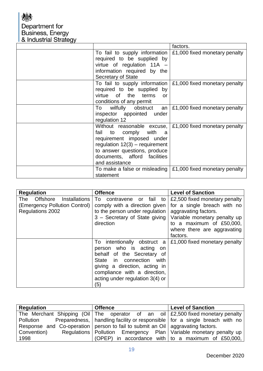复

# Department for<br>Business, Energy<br>& Industrial Strategy

|                                                                                                                                                                                                             | factors.                                                           |
|-------------------------------------------------------------------------------------------------------------------------------------------------------------------------------------------------------------|--------------------------------------------------------------------|
| required to be supplied by<br>virtue of regulation 11A -<br>information required by the<br><b>Secretary of State</b>                                                                                        | To fail to supply information $\mid$ £1,000 fixed monetary penalty |
| required to be supplied by<br>virtue of the<br>terms<br>or<br>conditions of any permit                                                                                                                      | To fail to supply information $\mid$ £1,000 fixed monetary penalty |
| To wilfully obstruct an<br>inspector appointed<br>under<br>regulation 12                                                                                                                                    | £1,000 fixed monetary penalty                                      |
| Without reasonable excuse,<br>fail to comply with<br>- a<br>requirement imposed under<br>regulation $12(3)$ - requirement<br>to answer questions, produce<br>documents, afford facilities<br>and assistance | £1,000 fixed monetary penalty                                      |
| To make a false or misleading $\mid$ £1,000 fixed monetary penalty<br>statement                                                                                                                             |                                                                    |

| <b>Regulation</b>                                                                     | <b>Offence</b>                                                                                                                                                                                                                              | <b>Level of Sanction</b>                                                                                                                                                                       |
|---------------------------------------------------------------------------------------|---------------------------------------------------------------------------------------------------------------------------------------------------------------------------------------------------------------------------------------------|------------------------------------------------------------------------------------------------------------------------------------------------------------------------------------------------|
| Offshore<br>Installations<br>The<br>(Emergency Pollution Control)<br>Regulations 2002 | fail<br>contravene<br>To:<br>or<br>to<br>comply with a direction given<br>to the person under regulation<br>3 - Secretary of State giving<br>direction                                                                                      | £2,500 fixed monetary penalty<br>for a single breach with no<br>aggravating factors.<br>Variable monetary penalty up<br>to a maximum of $£50,000$ ,<br>where there are aggravating<br>factors. |
|                                                                                       | To intentionally obstruct<br>a<br>person who is acting<br><b>on</b><br>behalf of the Secretary of<br>State in connection<br>with<br>giving a direction, acting in<br>compliance with a direction,<br>acting under regulation 3(4) or<br>(5) | £1,000 fixed monetary penalty                                                                                                                                                                  |

| <b>Regulation</b> | <b>Offence</b>                                                                            | <b>Level of Sanction</b>                    |
|-------------------|-------------------------------------------------------------------------------------------|---------------------------------------------|
|                   | The Merchant Shipping (Oil   The operator of an oil $\vert$ £2,500 fixed monetary penalty |                                             |
| Pollution         | Preparedness,   handling facility or responsible   for a single breach with no            |                                             |
|                   | Response and Co-operation   person to fail to submit an Oil   aggravating factors.        |                                             |
| Convention)       | Regulations   Pollution Emergency Plan   Variable monetary penalty up                     |                                             |
| 1998              | (OPEP)                                                                                    | in accordance with to a maximum of £50,000, |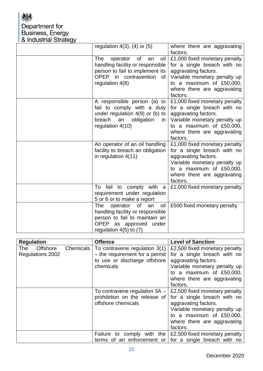| regulation $4(3)$ , $(4)$ or $(5)$                                                                                                                                 | where there are aggravating<br>factors.                                                                                                                                                     |
|--------------------------------------------------------------------------------------------------------------------------------------------------------------------|---------------------------------------------------------------------------------------------------------------------------------------------------------------------------------------------|
| <b>The</b><br>operator of<br>oil<br>an<br>handling facility or responsible<br>person to fail to implement its<br>OPEP in contravention<br>0f<br>regulation $4(8)$  | £1,000 fixed monetary penalty<br>for a single breach with no<br>aggravating factors.<br>Variable monetary penalty up<br>to a maximum of £50,000,<br>where there are aggravating<br>factors. |
| A responsible person (a) to<br>fail to comply with a duty<br>under regulation $4(9)$ or (b) to<br>breach an<br>obligation<br>in.<br>regulation $4(10)$             | £1,000 fixed monetary penalty<br>for a single breach with no<br>aggravating factors.<br>Variable monetary penalty up<br>to a maximum of £50,000,<br>where there are aggravating<br>factors. |
| An operator of an oil handling<br>facility to breach an obligation<br>in regulation $4(11)$                                                                        | £1,000 fixed monetary penalty<br>for a single breach with no<br>aggravating factors.<br>Variable monetary penalty up<br>to a maximum of £50,000,<br>where there are aggravating<br>factors. |
| fail to comply with a<br>To<br>requirement under regulation<br>5 or 6 or to make a report                                                                          | £1,000 fixed monetary penalty                                                                                                                                                               |
| The<br>of<br>oil<br>operator<br>an<br>handling facility or responsible<br>person to fail to maintain an<br>OPEP as approved<br>under<br>regulation $4(5)$ to $(7)$ | £500 fixed monetary penalty                                                                                                                                                                 |

| <b>Regulation</b>      |           | <b>Offence</b>                   | <b>Level of Sanction</b>      |
|------------------------|-----------|----------------------------------|-------------------------------|
| <b>Offshore</b><br>The | Chemicals | To contravene regulation 3(1)    | £2,500 fixed monetary penalty |
| Regulations 2002       |           | $-$ the requirement for a permit | for a single breach with no   |
|                        |           | to use or discharge offshore     | aggravating factors.          |
|                        |           | chemicals                        | Variable monetary penalty up  |
|                        |           |                                  | to a maximum of £50,000,      |
|                        |           |                                  | where there are aggravating   |
|                        |           |                                  | factors.                      |
|                        |           | To contravene regulation $3A -$  | £2,500 fixed monetary penalty |
|                        |           | prohibition on the release of    | for a single breach with no   |
|                        |           | offshore chemicals               | aggravating factors.          |
|                        |           |                                  | Variable monetary penalty up  |
|                        |           |                                  | to a maximum of £50,000,      |
|                        |           |                                  | where there are aggravating   |
|                        |           |                                  | factors.                      |
|                        |           | Failure to comply with the       | £2,500 fixed monetary penalty |
|                        |           | terms of an enforcement or       | for a single breach with no   |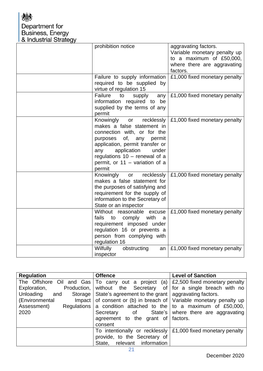| ı a madətilar olraloğy |                                                                                                                                                                                                                                                                                 |                                                                                                                             |
|------------------------|---------------------------------------------------------------------------------------------------------------------------------------------------------------------------------------------------------------------------------------------------------------------------------|-----------------------------------------------------------------------------------------------------------------------------|
|                        | prohibition notice                                                                                                                                                                                                                                                              | aggravating factors.<br>Variable monetary penalty up<br>to a maximum of £50,000,<br>where there are aggravating<br>factors. |
|                        | Failure to supply information<br>required to be supplied by<br>virtue of regulation 15                                                                                                                                                                                          | £1,000 fixed monetary penalty                                                                                               |
|                        | Failure<br>to<br>supply<br>any<br>information required to be<br>supplied by the terms of any<br>permit                                                                                                                                                                          | £1,000 fixed monetary penalty                                                                                               |
|                        | Knowingly<br>recklessly<br>or<br>makes a false statement in<br>connection with, or for the<br>of,<br>purposes<br>any<br>permit<br>application, permit transfer or<br>application<br>under<br>any<br>regulations $10 -$ renewal of a<br>permit, or 11 - variation of a<br>permit | £1,000 fixed monetary penalty                                                                                               |
|                        | Knowingly<br>recklessly<br>or<br>makes a false statement for<br>the purposes of satisfying and<br>requirement for the supply of<br>information to the Secretary of<br>State or an inspector                                                                                     | £1,000 fixed monetary penalty                                                                                               |
|                        | Without reasonable<br>excuse<br>fails<br>with<br>comply<br>to<br>a<br>requirement imposed under<br>regulation 16 or prevents a<br>person from complying with<br>regulation 16                                                                                                   | £1,000 fixed monetary penalty                                                                                               |
|                        | Wilfully<br>obstructing<br>an<br>inspector                                                                                                                                                                                                                                      | £1,000 fixed monetary penalty                                                                                               |

| <b>Regulation</b>                                 | <b>Offence</b>                                                     | <b>Level of Sanction</b>               |
|---------------------------------------------------|--------------------------------------------------------------------|----------------------------------------|
| The Offshore Oil and Gas   To carry out a project | (a)                                                                | £2,500 fixed monetary penalty          |
| Exploration,                                      | Production, without the Secretary<br>of                            | for a single breach with no            |
| Unloading<br>and                                  | Storage   State's agreement to the grant                           | aggravating factors.                   |
| (Environmental                                    | Impact of consent or (b) in breach of Variable monetary penalty up |                                        |
| Assessment)                                       | Regulations a condition attached to the to a maximum of £50,000,   |                                        |
| 2020                                              | Secretary                                                          | of State's where there are aggravating |
|                                                   | agreement to the grant of $\vert$ factors.                         |                                        |
|                                                   | consent                                                            |                                        |
|                                                   | To intentionally or recklessly                                     | £1,000 fixed monetary penalty          |
|                                                   | provide, to the Secretary of                                       |                                        |
|                                                   | information<br>relevant<br>State,                                  |                                        |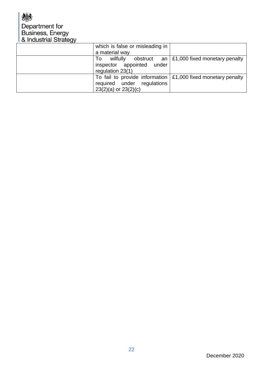| which is false or misleading in                                      |                                                   |
|----------------------------------------------------------------------|---------------------------------------------------|
| a material way                                                       |                                                   |
| wilfully<br>To                                                       | obstruct an $\vert$ £1,000 fixed monetary penalty |
| inspector appointed under                                            |                                                   |
| regulation 23(1)                                                     |                                                   |
| To fail to provide information $\vert$ £1,000 fixed monetary penalty |                                                   |
| required under<br>regulations                                        |                                                   |
| $23(2)(a)$ or $23(2)(c)$                                             |                                                   |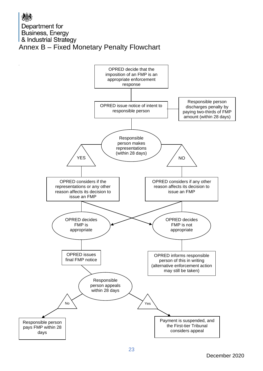Department for Business, Energy

& Industrial Strategy

#### Annex B – Fixed Monetary Penalty Flowchart

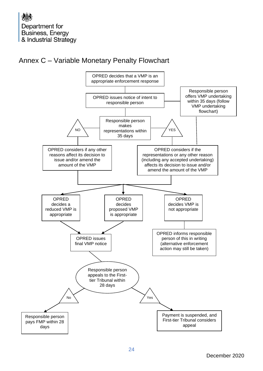#### Annex C – Variable Monetary Penalty Flowchart